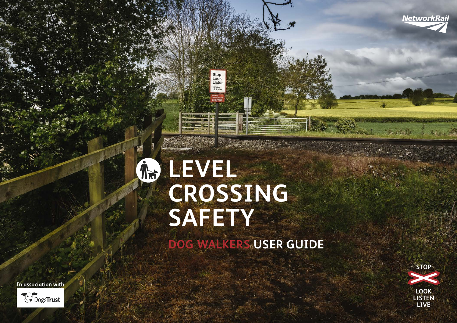## **LEVEL CROSSING SAFETY**

Stop Look Listen

**DOG WALKERS USER GUIDE**

In association with





**NetworkRail** 

**LOOK LISTEN LIVE**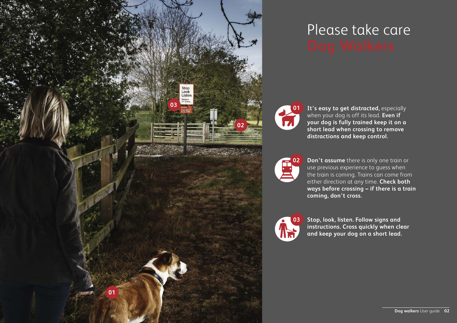

# Please take care



**It's easy to get distracted,** especially when your dog is off its lead. **Even if your dog is fully trained keep it on a short lead when crossing to remove distractions and keep control.**

**02**

**Don't assume** there is only one train or use previous experience to guess when the train is coming. Trains can come from either direction at any time. **Check both ways before crossing – if there is a train coming, don't cross.**



**Stop, look, listen. Follow signs and instructions. Cross quickly when clear and keep your dog on a short lead.**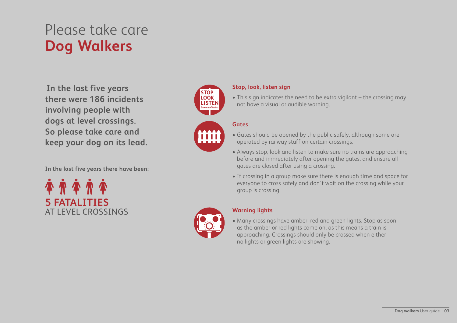## Please take care **Dog Walkers**

**In the last five years there were 186 incidents involving people with dogs at level crossings. So please take care and keep your dog on its lead.**

**In the last five years there have been:**





#### **Stop, look, listen sign**

• This sign indicates the need to be extra vigilant – the crossing may not have a visual or audible warning.

#### **Gates**

- Gates should be opened by the public safely, although some are operated by railway staff on certain crossings.
- Always stop, look and listen to make sure no trains are approaching before and immediately after opening the gates, and ensure all gates are closed after using a crossing.
- If crossing in a group make sure there is enough time and space for everyone to cross safely and don't wait on the crossing while your group is crossing.

### **Warning lights**

• Many crossings have amber, red and green lights. Stop as soon as the amber or red lights come on, as this means a train is approaching. Crossings should only be crossed when either no lights or green lights are showing.